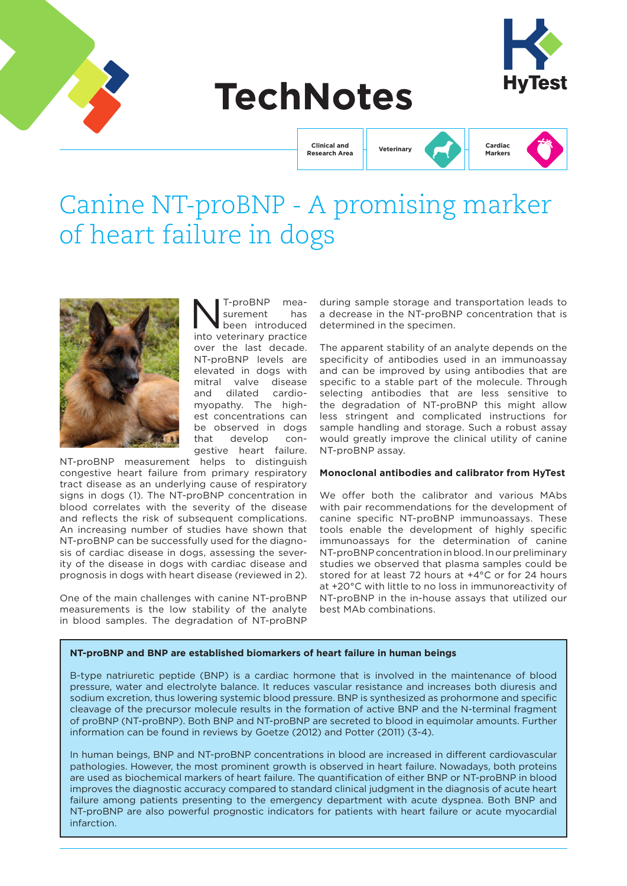





**Clinical and Research Area Veterinary**



# Canine NT-proBNP - A promising marker of heart failure in dogs



NT-proBNP mea-<br>
surement has<br>
been introduced surement has into veterinary practice over the last decade. NT-proBNP levels are elevated in dogs with mitral valve disease and dilated cardiomyopathy. The highest concentrations can be observed in dogs that develop congestive heart failure.

NT-proBNP measurement helps to distinguish congestive heart failure from primary respiratory tract disease as an underlying cause of respiratory signs in dogs (1). The NT-proBNP concentration in blood correlates with the severity of the disease and reflects the risk of subsequent complications. An increasing number of studies have shown that NT-proBNP can be successfully used for the diagnosis of cardiac disease in dogs, assessing the severity of the disease in dogs with cardiac disease and prognosis in dogs with heart disease (reviewed in 2).

One of the main challenges with canine NT-proBNP measurements is the low stability of the analyte in blood samples. The degradation of NT-proBNP

during sample storage and transportation leads to a decrease in the NT-proBNP concentration that is determined in the specimen.

The apparent stability of an analyte depends on the specificity of antibodies used in an immunoassay and can be improved by using antibodies that are specific to a stable part of the molecule. Through selecting antibodies that are less sensitive to the degradation of NT-proBNP this might allow less stringent and complicated instructions for sample handling and storage. Such a robust assay would greatly improve the clinical utility of canine NT-proBNP assay.

### **Monoclonal antibodies and calibrator from HyTest**

We offer both the calibrator and various MAbs with pair recommendations for the development of canine specific NT-proBNP immunoassays. These tools enable the development of highly specific immunoassays for the determination of canine NT-proBNP concentration in blood. In our preliminary studies we observed that plasma samples could be stored for at least 72 hours at +4°C or for 24 hours at +20°C with little to no loss in immunoreactivity of NT-proBNP in the in-house assays that utilized our best MAb combinations.

## **NT-proBNP and BNP are established biomarkers of heart failure in human beings**

B-type natriuretic peptide (BNP) is a cardiac hormone that is involved in the maintenance of blood pressure, water and electrolyte balance. It reduces vascular resistance and increases both diuresis and sodium excretion, thus lowering systemic blood pressure. BNP is synthesized as prohormone and specific cleavage of the precursor molecule results in the formation of active BNP and the N-terminal fragment of proBNP (NT-proBNP). Both BNP and NT-proBNP are secreted to blood in equimolar amounts. Further information can be found in reviews by Goetze (2012) and Potter (2011) (3-4).

In human beings, BNP and NT-proBNP concentrations in blood are increased in different cardiovascular pathologies. However, the most prominent growth is observed in heart failure. Nowadays, both proteins are used as biochemical markers of heart failure. The quantification of either BNP or NT-proBNP in blood improves the diagnostic accuracy compared to standard clinical judgment in the diagnosis of acute heart failure among patients presenting to the emergency department with acute dyspnea. Both BNP and NT-proBNP are also powerful prognostic indicators for patients with heart failure or acute myocardial infarction.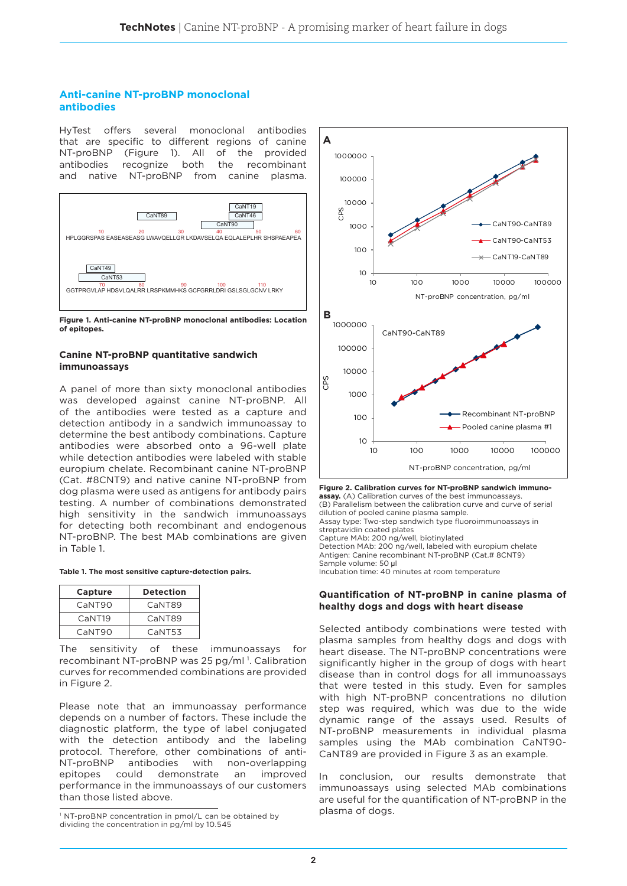# **Anti-canine NT-proBNP monoclonal antibodies**

HyTest offers several monoclonal antibodies that are specific to different regions of canine NT-proBNP (Figure 1). All of the provided antibodies recognize both the recombinant and native NT-proBNP from canine plasma.



**Figure 1. Anti-canine NT-proBNP monoclonal antibodies: Location of epitopes.**

## **Canine NT-proBNP quantitative sandwich immunoassays**

A panel of more than sixty monoclonal antibodies was developed against canine NT-proBNP. All of the antibodies were tested as a capture and detection antibody in a sandwich immunoassay to determine the best antibody combinations. Capture antibodies were absorbed onto a 96-well plate while detection antibodies were labeled with stable europium chelate. Recombinant canine NT-proBNP (Cat. #8CNT9) and native canine NT-proBNP from dog plasma were used as antigens for antibody pairs testing. A number of combinations demonstrated high sensitivity in the sandwich immunoassays for detecting both recombinant and endogenous NT-proBNP. The best MAb combinations are given in Table 1.

|  |  | Table 1. The most sensitive capture-detection pairs. |  |
|--|--|------------------------------------------------------|--|
|  |  |                                                      |  |

| Capture   | <b>Detection</b> |  |  |
|-----------|------------------|--|--|
| CaNT90    | CaNT89           |  |  |
| $C$ aNT19 | CaNT89           |  |  |
| CaNT90    | CaNT53           |  |  |

The sensitivity of these immunoassays for recombinant NT-proBNP was 25 pg/ml<sup>1</sup>. Calibration curves for recommended combinations are provided in Figure 2.

Please note that an immunoassay performance depends on a number of factors. These include the diagnostic platform, the type of label conjugated with the detection antibody and the labeling protocol. Therefore, other combinations of anti-<br>NT-proBNP antibodies with non-overlapping NT-proBNP antibodies with non-overlapping epitopes could demonstrate an improved performance in the immunoassays of our customers than those listed above.



**Figure 2. Calibration curves for NT-proBNP sandwich immunoassay.** (A) Calibration curves of the best immunoassays. (B) Parallelism between the calibration curve and curve of serial dilution of pooled canine plasma sample. Assay type: Two-step sandwich type fluoroimmunoassays in streptavidin coated plates Capture MAb: 200 ng/well, biotinylated Detection MAb: 200 ng/well, labeled with europium chelate Antigen: Canine recombinant NT-proBNP (Cat.# 8CNT9) Sample volume: 50 μl Incubation time: 40 minutes at room temperature

## **Quantification of NT-proBNP in canine plasma of healthy dogs and dogs with heart disease**

Selected antibody combinations were tested with plasma samples from healthy dogs and dogs with heart disease. The NT-proBNP concentrations were significantly higher in the group of dogs with heart disease than in control dogs for all immunoassays that were tested in this study. Even for samples with high NT-proBNP concentrations no dilution step was required, which was due to the wide dynamic range of the assays used. Results of NT-proBNP measurements in individual plasma samples using the MAb combination CaNT90- CaNT89 are provided in Figure 3 as an example.

In conclusion, our results demonstrate that immunoassays using selected MAb combinations are useful for the quantification of NT-proBNP in the plasma of dogs.

<sup>&</sup>lt;sup>1</sup> NT-proBNP concentration in pmol/L can be obtained by dividing the concentration in pg/ml by 10.545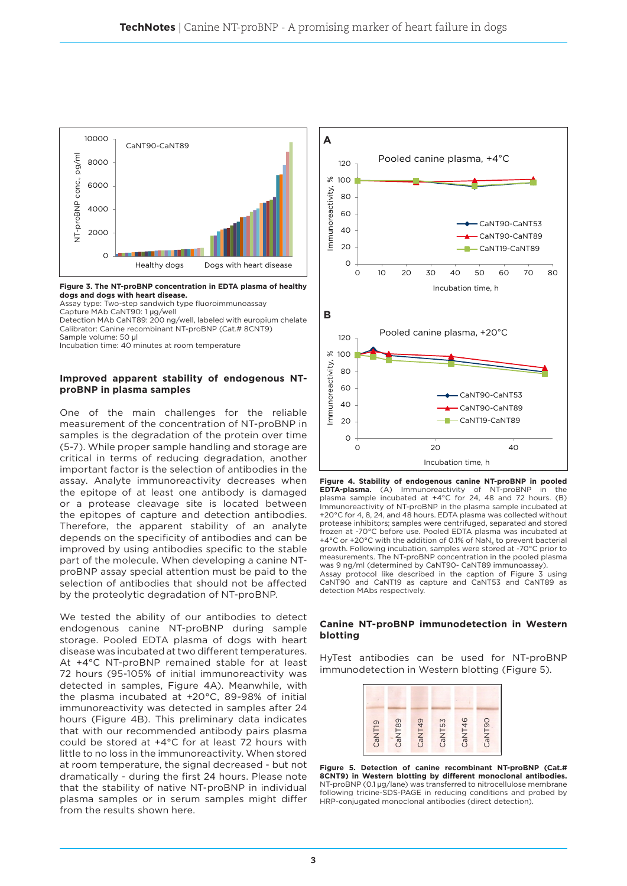

**Figure 3. The NT-proBNP concentration in EDTA plasma of healthy dogs and dogs with heart disease.** 

Assay type: Two-step sandwich type fluoroimmunoassay

Capture MAb CaNT90: 1 μg/well Detection MAb CaNT89: 200 ng/well, labeled with europium chelate Calibrator: Canine recombinant NT-proBNP (Cat.# 8CNT9)

Sample volume: 50 μl

Incubation time: 40 minutes at room temperature

## **Improved apparent stability of endogenous NTproBNP in plasma samples**

One of the main challenges for the reliable measurement of the concentration of NT-proBNP in samples is the degradation of the protein over time (5-7). While proper sample handling and storage are critical in terms of reducing degradation, another important factor is the selection of antibodies in the assay. Analyte immunoreactivity decreases when the epitope of at least one antibody is damaged or a protease cleavage site is located between the epitopes of capture and detection antibodies. Therefore, the apparent stability of an analyte depends on the specificity of antibodies and can be improved by using antibodies specific to the stable part of the molecule. When developing a canine NTproBNP assay special attention must be paid to the selection of antibodies that should not be affected by the proteolytic degradation of NT-proBNP.

We tested the ability of our antibodies to detect endogenous canine NT-proBNP during sample storage. Pooled EDTA plasma of dogs with heart disease was incubated at two different temperatures. At +4°C NT-proBNP remained stable for at least 72 hours (95-105% of initial immunoreactivity was detected in samples, Figure 4A). Meanwhile, with the plasma incubated at +20°C, 89-98% of initial immunoreactivity was detected in samples after 24 hours (Figure 4B). This preliminary data indicates that with our recommended antibody pairs plasma could be stored at +4°C for at least 72 hours with little to no loss in the immunoreactivity. When stored at room temperature, the signal decreased - but not dramatically - during the first 24 hours. Please note that the stability of native NT-proBNP in individual plasma samples or in serum samples might differ from the results shown here.



**Figure 4. Stability of endogenous canine NT-proBNP in pooled EDTA-plasma.** (A) Immunoreactivity of NT-proBNP in the plasma sample incubated at +4°C for 24, 48 and 72 hours. (B) Immunoreactivity of NT-proBNP in the plasma sample incubated at +20°C for 4, 8, 24, and 48 hours. EDTA plasma was collected without protease inhibitors; samples were centrifuged, separated and stored frozen at -70°C before use. Pooled EDTA plasma was incubated at +4°C or +20°C with the addition of 0.1% of NaN<sub>z</sub> to prevent bacterial growth. Following incubation, samples were stored at -70°C prior to measurements. The NT-proBNP concentration in the pooled plasma was 9 ng/ml (determined by CaNT90- CaNT89 immunoassay). Assay protocol like described in the caption of Figure 3 using CaNT90 and CaNT19 as capture and CaNT53 and CaNT89 as

## **Canine NT-proBNP immunodetection in Western blotting**

detection MAbs respectively.

HyTest antibodies can be used for NT-proBNP immunodetection in Western blotting (Figure 5).



**Figure 5. Detection of canine recombinant NT-proBNP (Cat.# 8CNT9) in Western blotting by different monoclonal antibodies.** NT-proBNP (0.1 µg/lane) was transferred to nitrocellulose membrane following tricine-SDS-PAGE in reducing conditions and probed by HRP-conjugated monoclonal antibodies (direct detection).